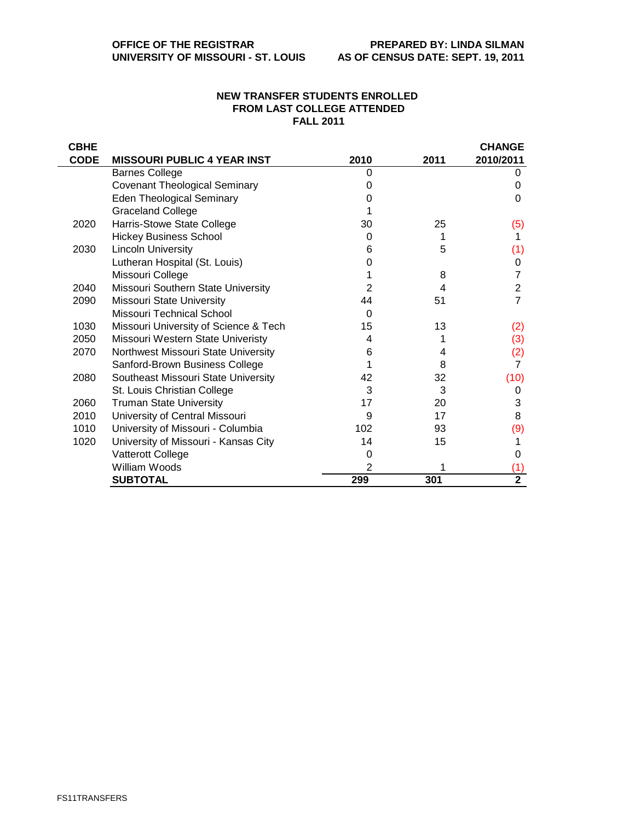## **NEW TRANSFER STUDENTS ENROLLED FROM LAST COLLEGE ATTENDED FALL 2011**

| <b>CBHE</b> |                                       |                |      | <b>CHANGE</b>  |
|-------------|---------------------------------------|----------------|------|----------------|
| <b>CODE</b> | <b>MISSOURI PUBLIC 4 YEAR INST</b>    | 2010           | 2011 | 2010/2011      |
|             | <b>Barnes College</b>                 | $\Omega$       |      | 0              |
|             | <b>Covenant Theological Seminary</b>  | 0              |      | 0              |
|             | <b>Eden Theological Seminary</b>      | O              |      | 0              |
|             | <b>Graceland College</b>              |                |      |                |
| 2020        | Harris-Stowe State College            | 30             | 25   | (5)            |
|             | <b>Hickey Business School</b>         | 0              | 1    | 1              |
| 2030        | <b>Lincoln University</b>             | 6              | 5    | (1)            |
|             | Lutheran Hospital (St. Louis)         | O              |      | 0              |
|             | Missouri College                      |                | 8    |                |
| 2040        | Missouri Southern State University    | $\overline{2}$ | 4    | 2              |
| 2090        | <b>Missouri State University</b>      | 44             | 51   | 7              |
|             | Missouri Technical School             | 0              |      |                |
| 1030        | Missouri University of Science & Tech | 15             | 13   | (2)            |
| 2050        | Missouri Western State Univeristy     | 4              |      | (3)            |
| 2070        | Northwest Missouri State University   | 6              | 4    | (2)            |
|             | Sanford-Brown Business College        |                | 8    | $\overline{7}$ |
| 2080        | Southeast Missouri State University   | 42             | 32   | (10)           |
|             | St. Louis Christian College           | 3              | 3    | 0              |
| 2060        | <b>Truman State University</b>        | 17             | 20   | 3              |
| 2010        | University of Central Missouri        | 9              | 17   | 8              |
| 1010        | University of Missouri - Columbia     | 102            | 93   | (9)            |
| 1020        | University of Missouri - Kansas City  | 14             | 15   | 1              |
|             | Vatterott College                     | 0              |      | 0              |
|             | William Woods                         | 2              |      | (1)            |
|             | <b>SUBTOTAL</b>                       | 299            | 301  | $\overline{2}$ |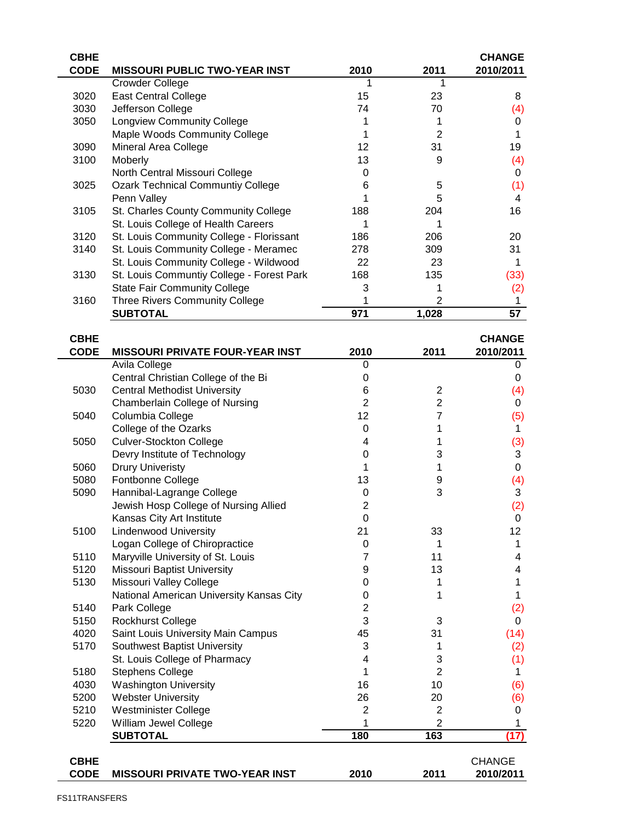| <b>CBHE</b> |                                           |      |                | <b>CHANGE</b> |
|-------------|-------------------------------------------|------|----------------|---------------|
| <b>CODE</b> | <b>MISSOURI PUBLIC TWO-YEAR INST</b>      | 2010 | 2011           | 2010/2011     |
|             | Crowder College                           |      |                |               |
| 3020        | <b>East Central College</b>               | 15   | 23             | 8             |
| 3030        | Jefferson College                         | 74   | 70             | (4)           |
| 3050        | <b>Longview Community College</b>         |      |                | 0             |
|             | Maple Woods Community College             |      | $\overline{2}$ |               |
| 3090        | Mineral Area College                      | 12   | 31             | 19            |
| 3100        | Moberly                                   | 13   | 9              | (4)           |
|             | North Central Missouri College            | O    |                | 0             |
| 3025        | <b>Ozark Technical Communtiy College</b>  | 6    | 5              | (1)           |
|             | Penn Valley                               |      | 5              | 4             |
| 3105        | St. Charles County Community College      | 188  | 204            | 16            |
|             | St. Louis College of Health Careers       |      |                |               |
| 3120        | St. Louis Community College - Florissant  | 186  | 206            | 20            |
| 3140        | St. Louis Community College - Meramec     | 278  | 309            | 31            |
|             | St. Louis Community College - Wildwood    | 22   | 23             |               |
| 3130        | St. Louis Communtiy College - Forest Park | 168  | 135            | (33)          |
|             | <b>State Fair Community College</b>       | 3    |                | (2)           |
| 3160        | <b>Three Rivers Community College</b>     |      | 2              |               |
|             | <b>SUBTOTAL</b>                           | 971  | 1,028          | 57            |
| <b>CBHE</b> |                                           |      |                | <b>CHANGE</b> |

| <b>CODE</b> | <b>MISSOURI PRIVATE FOUR-YEAR INST</b>   | 2010           | 2011                    | 2010/2011     |
|-------------|------------------------------------------|----------------|-------------------------|---------------|
|             | Avila College                            | $\Omega$       |                         | 0             |
|             | Central Christian College of the Bi      | 0              |                         | 0             |
| 5030        | <b>Central Methodist University</b>      | 6              | 2                       | (4)           |
|             | Chamberlain College of Nursing           | $\overline{2}$ | $\overline{\mathbf{c}}$ | 0             |
| 5040        | Columbia College                         | 12             | 7                       | (5)           |
|             | College of the Ozarks                    | 0              | 1                       | $\mathbf 1$   |
| 5050        | <b>Culver-Stockton College</b>           | $\overline{4}$ | 1                       | (3)           |
|             | Devry Institute of Technology            | $\Omega$       | 3                       | 3             |
| 5060        | <b>Drury Univeristy</b>                  | 1              | 1                       | 0             |
| 5080        | Fontbonne College                        | 13             | 9                       | (4)           |
| 5090        | Hannibal-Lagrange College                | 0              | 3                       | 3             |
|             | Jewish Hosp College of Nursing Allied    | $\overline{2}$ |                         | (2)           |
|             | Kansas City Art Institute                | $\Omega$       |                         | 0             |
| 5100        | <b>Lindenwood University</b>             | 21             | 33                      | 12            |
|             | Logan College of Chiropractice           | 0              | 1                       | 1             |
| 5110        | Maryville University of St. Louis        | 7              | 11                      | 4             |
| 5120        | <b>Missouri Baptist University</b>       | 9              | 13                      | 4             |
| 5130        | Missouri Valley College                  | 0              | 1                       | 1             |
|             | National American University Kansas City | 0              | 1                       | 1             |
| 5140        | Park College                             | $\overline{2}$ |                         | (2)           |
| 5150        | <b>Rockhurst College</b>                 | 3              | 3                       | 0             |
| 4020        | Saint Louis University Main Campus       | 45             | 31                      | (14)          |
| 5170        | Southwest Baptist University             | 3              | 1                       | (2)           |
|             | St. Louis College of Pharmacy            | 4              | 3                       | (1)           |
| 5180        | <b>Stephens College</b>                  | 1              | $\overline{2}$          | 1             |
| 4030        | <b>Washington University</b>             | 16             | 10                      | (6)           |
| 5200        | <b>Webster University</b>                | 26             | 20                      | (6)           |
| 5210        | <b>Westminister College</b>              | $\overline{2}$ | $\overline{2}$          | 0             |
| 5220        | William Jewel College                    |                | $\overline{c}$          | 1             |
|             | <b>SUBTOTAL</b>                          | 180            | 163                     | (17)          |
| <b>CBHE</b> |                                          |                |                         | <b>CHANGE</b> |
| <b>CODE</b> | <b>MISSOURI PRIVATE TWO-YEAR INST</b>    | 2010           | 2011                    | 2010/2011     |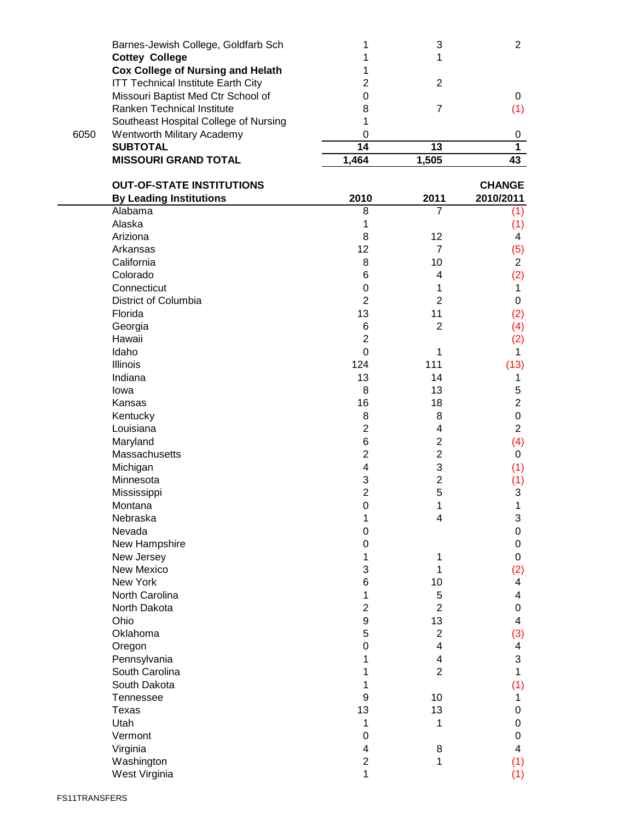|      | <b>MISSOURI GRAND TOTAL</b>               | 1.464 | 1,505 |  |
|------|-------------------------------------------|-------|-------|--|
|      | <b>SUBTOTAL</b>                           | 14    | 13    |  |
| 6050 | Wentworth Military Academy                |       |       |  |
|      | Southeast Hospital College of Nursing     |       |       |  |
|      | Ranken Technical Institute                | 8     |       |  |
|      | Missouri Baptist Med Ctr School of        |       |       |  |
|      | <b>ITT Technical Institute Earth City</b> |       |       |  |
|      | <b>Cox College of Nursing and Helath</b>  |       |       |  |
|      | <b>Cottey College</b>                     |       |       |  |
|      | Barnes-Jewish College, Goldfarb Sch       |       |       |  |

| <b>OUT-OF-STATE INSTITUTIONS</b> |                  |                | <b>CHANGE</b>           |
|----------------------------------|------------------|----------------|-------------------------|
| <b>By Leading Institutions</b>   | 2010             | 2011           | 2010/2011               |
| Alabama                          | 8                | $\overline{7}$ | (1)                     |
| Alaska                           | 1                |                | (1)                     |
| Ariziona                         | 8                | 12             | 4                       |
| Arkansas                         | 12               | $\overline{7}$ | (5)                     |
| California                       | 8                | 10             | $\overline{2}$          |
| Colorado                         | 6                | $\overline{4}$ | (2)                     |
| Connecticut                      | $\boldsymbol{0}$ | 1              | 1                       |
| District of Columbia             | $\overline{2}$   | $\overline{2}$ | 0                       |
| Florida                          | 13               | 11             | (2)                     |
| Georgia                          | 6                | $\overline{2}$ | (4)                     |
| Hawaii                           | $\overline{2}$   |                | (2)                     |
| Idaho                            | $\mathbf 0$      | 1              | $\mathbf{1}$            |
| Illinois                         | 124              | 111            | (13)                    |
| Indiana                          | 13               | 14             | 1                       |
| lowa                             | 8                | 13             | 5                       |
| Kansas                           | 16               | 18             | $\overline{2}$          |
| Kentucky                         | 8                | 8              | $\mathbf 0$             |
| Louisiana                        | $\overline{2}$   | 4              | $\overline{c}$          |
| Maryland                         | 6                | $\overline{c}$ | (4)                     |
| Massachusetts                    | $\overline{2}$   | $\overline{c}$ | 0                       |
| Michigan                         | 4                | 3              | (1)                     |
| Minnesota                        | 3                | $\overline{c}$ | (1)                     |
| Mississippi                      | $\overline{c}$   | 5              | 3                       |
| Montana                          | $\mathbf 0$      | 1              | 1                       |
| Nebraska                         | 1                | 4              | 3                       |
| Nevada                           | 0                |                | $\mathbf 0$             |
| New Hampshire                    | 0                |                | $\mathsf{O}\xspace$     |
| New Jersey                       | 1                | 1              | 0                       |
| <b>New Mexico</b>                | 3                | 1              | (2)                     |
| New York                         | 6                | 10             | 4                       |
| North Carolina                   | 1                | 5              | 4                       |
| North Dakota                     | $\overline{c}$   | $\overline{2}$ | 0                       |
| Ohio                             | 9                | 13             | 4                       |
| Oklahoma                         | 5                | $\sqrt{2}$     | (3)                     |
| Oregon                           | 0                | 4              | 4                       |
| Pennsylvania                     | 1                | 4              | 3                       |
| South Carolina                   | 1                | $\overline{2}$ | 1                       |
| South Dakota                     | 1                |                | (1)                     |
| Tennessee                        | $\boldsymbol{9}$ | 10             | 1                       |
| Texas                            | 13               | 13             | 0                       |
| Utah                             | 1                | 1              | 0                       |
| Vermont                          | $\boldsymbol{0}$ |                | 0                       |
| Virginia                         | 4                | 8              | $\overline{\mathbf{4}}$ |
| Washington                       | $\overline{c}$   | 1              | (1)                     |
| West Virginia                    | 1                |                | (1)                     |
|                                  |                  |                |                         |